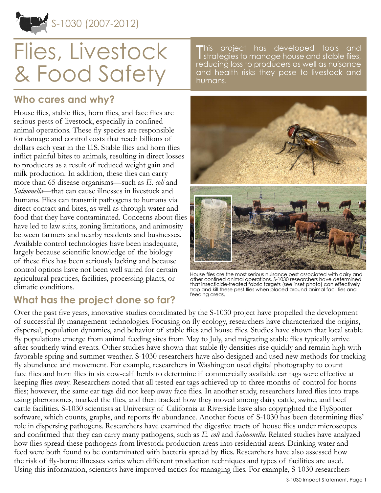S-1030 (2007-2012)

# Flies, Livestock & Food Safety

**Who cares and why?**

House flies, stable flies, horn flies, and face flies are serious pests of livestock, especially in confined animal operations. These fly species are responsible for damage and control costs that reach billions of dollars each year in the U.S. Stable flies and horn flies inflict painful bites to animals, resulting in direct losses to producers as a result of reduced weight gain and milk production. In addition, these flies can carry more than 65 disease organisms—such as *E. coli* and *Salmonella*—that can cause illnesses in livestock and humans. Flies can transmit pathogens to humans via direct contact and bites, as well as through water and food that they have contaminated. Concerns about flies have led to law suits, zoning limitations, and animosity between farmers and nearby residents and businesses. Available control technologies have been inadequate, largely because scientific knowledge of the biology of these flies has been seriously lacking and because control options have not been well suited for certain agricultural practices, facilities, processing plants, or climatic conditions.

#### This project has developed tools and<br>I strategies to manage house and stable flies, his project has developed tools and reducing loss to producers as well as nuisance and health risks they pose to livestock and humans.



House flies are the most serious nuisance pest associated with dairy and other confined animal operations. S-1030 researchers have determined that insecticide-treated fabric targets (see inset photo) can effectively trap and kill these pest flies when placed around animal facilities and feeding areas.

## **What has the project done so far?**

Over the past five years, innovative studies coordinated by the S-1030 project have propelled the development of successful fly management technologies. Focusing on fly ecology, researchers have characterized the origins, dispersal, population dynamics, and behavior of stable flies and house flies. Studies have shown that local stable fly populations emerge from animal feeding sites from May to July, and migrating stable flies typically arrive after southerly wind events. Other studies have shown that stable fly densities rise quickly and remain high with favorable spring and summer weather. S-1030 researchers have also designed and used new methods for tracking fly abundance and movement. For example, researchers in Washington used digital photography to count face flies and horn flies in six cow-calf herds to determine if commercially available ear tags were effective at keeping flies away. Researchers noted that all tested ear tags achieved up to three months of control for horns flies; however, the same ear tags did not keep away face flies. In another study, researchers lured flies into traps using pheromones, marked the flies, and then tracked how they moved among dairy cattle, swine, and beef cattle facilities. S-1030 scientists at University of California at Riverside have also copyrighted the FlySpotter software, which counts, graphs, and reports fly abundance. Another focus of S-1030 has been determining flies' role in dispersing pathogens. Researchers have examined the digestive tracts of house flies under microscopes and confirmed that they can carry many pathogens, such as *E. coli* and *Salmonella*. Related studies have analyzed how flies spread these pathogens from livestock production areas into residential areas. Drinking water and feed were both found to be contaminated with bacteria spread by flies. Researchers have also assessed how the risk of fly-borne illnesses varies when different production techniques and types of facilities are used. Using this information, scientists have improved tactics for managing flies. For example, S-1030 researchers